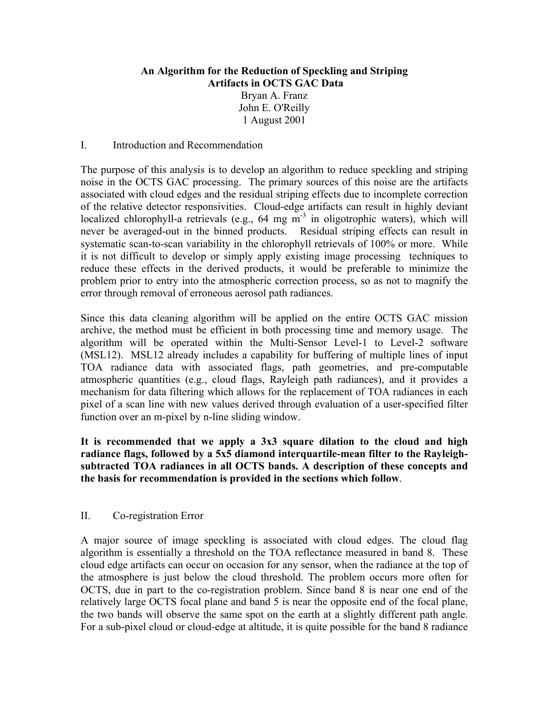# **An Algorithm for the Reduction of Speckling and Striping Artifacts in OCTS GAC Data**

Bryan A. Franz John E. O'Reilly 1 August 2001

# I. Introduction and Recommendation

The purpose of this analysis is to develop an algorithm to reduce speckling and striping noise in the OCTS GAC processing. The primary sources of this noise are the artifacts associated with cloud edges and the residual striping effects due to incomplete correction of the relative detector responsivities. Cloud-edge artifacts can result in highly deviant localized chlorophyll-a retrievals (e.g.,  $64 \text{ mg m}^3$  in oligotrophic waters), which will never be averaged-out in the binned products. Residual striping effects can result in systematic scan-to-scan variability in the chlorophyll retrievals of 100% or more. While it is not difficult to develop or simply apply existing image processing techniques to reduce these effects in the derived products, it would be preferable to minimize the problem prior to entry into the atmospheric correction process, so as not to magnify the error through removal of erroneous aerosol path radiances.

Since this data cleaning algorithm will be applied on the entire OCTS GAC mission archive, the method must be efficient in both processing time and memory usage. The algorithm will be operated within the Multi-Sensor Level-1 to Level-2 software (MSL12). MSL12 already includes a capability for buffering of multiple lines of input TOA radiance data with associated flags, path geometries, and pre-computable atmospheric quantities (e.g., cloud flags, Rayleigh path radiances), and it provides a mechanism for data filtering which allows for the replacement of TOA radiances in each pixel of a scan line with new values derived through evaluation of a user-specified filter function over an m-pixel by n-line sliding window.

**It is recommended that we apply a 3x3 square dilation to the cloud and high radiance flags, followed by a 5x5 diamond interquartile-mean filter to the Rayleighsubtracted TOA radiances in all OCTS bands. A description of these concepts and the basis for recommendation is provided in the sections which follow**.

# II. Co-registration Error

A major source of image speckling is associated with cloud edges. The cloud flag algorithm is essentially a threshold on the TOA reflectance measured in band 8. These cloud edge artifacts can occur on occasion for any sensor, when the radiance at the top of the atmosphere is just below the cloud threshold. The problem occurs more often for OCTS, due in part to the co-registration problem. Since band 8 is near one end of the relatively large OCTS focal plane and band 5 is near the opposite end of the focal plane, the two bands will observe the same spot on the earth at a slightly different path angle. For a sub-pixel cloud or cloud-edge at altitude, it is quite possible for the band 8 radiance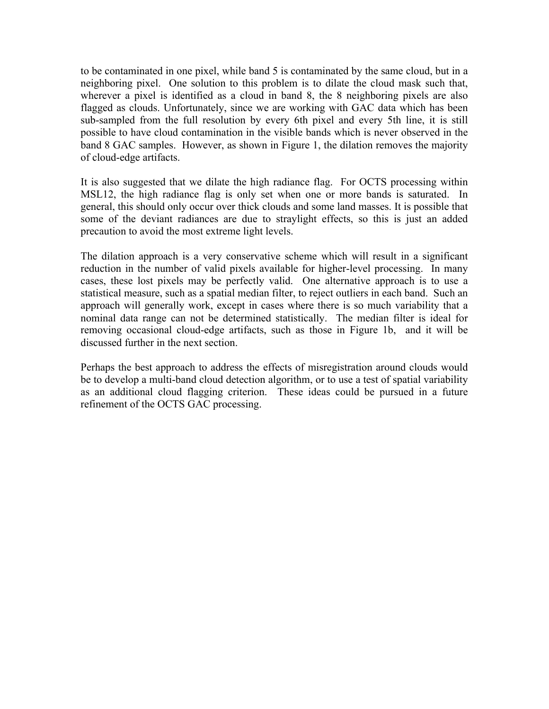to be contaminated in one pixel, while band 5 is contaminated by the same cloud, but in a neighboring pixel. One solution to this problem is to dilate the cloud mask such that, wherever a pixel is identified as a cloud in band 8, the 8 neighboring pixels are also flagged as clouds. Unfortunately, since we are working with GAC data which has been sub-sampled from the full resolution by every 6th pixel and every 5th line, it is still possible to have cloud contamination in the visible bands which is never observed in the band 8 GAC samples. However, as shown in Figure 1, the dilation removes the majority of cloud-edge artifacts.

It is also suggested that we dilate the high radiance flag. For OCTS processing within MSL12, the high radiance flag is only set when one or more bands is saturated. In general, this should only occur over thick clouds and some land masses. It is possible that some of the deviant radiances are due to straylight effects, so this is just an added precaution to avoid the most extreme light levels.

The dilation approach is a very conservative scheme which will result in a significant reduction in the number of valid pixels available for higher-level processing. In many cases, these lost pixels may be perfectly valid. One alternative approach is to use a statistical measure, such as a spatial median filter, to reject outliers in each band. Such an approach will generally work, except in cases where there is so much variability that a nominal data range can not be determined statistically. The median filter is ideal for removing occasional cloud-edge artifacts, such as those in Figure 1b, and it will be discussed further in the next section.

Perhaps the best approach to address the effects of misregistration around clouds would be to develop a multi-band cloud detection algorithm, or to use a test of spatial variability as an additional cloud flagging criterion. These ideas could be pursued in a future refinement of the OCTS GAC processing.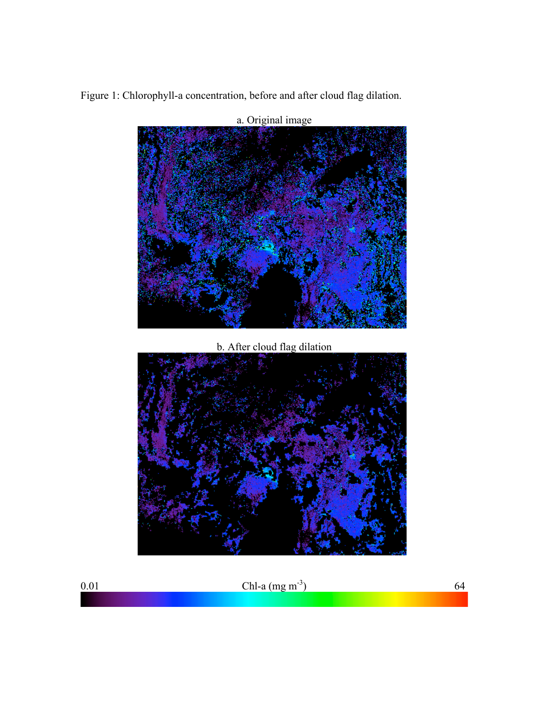Figure 1: Chlorophyll-a concentration, before and after cloud flag dilation.



a. Original image

0.01 Chl-a  $(\text{mg m}^{-3})$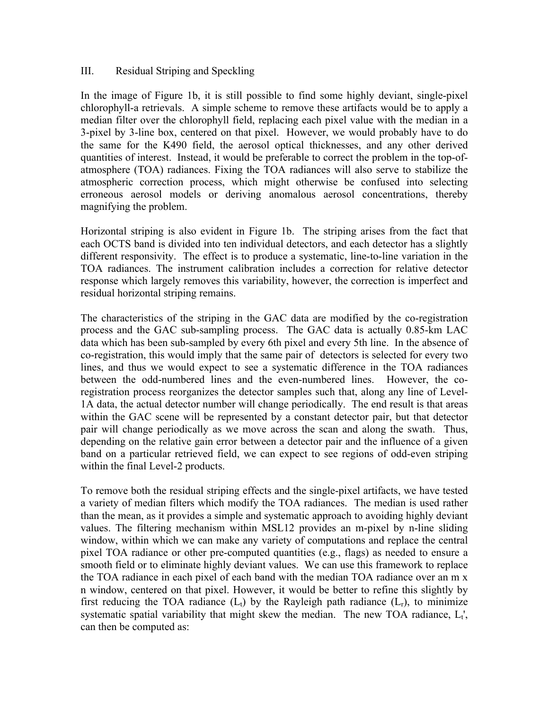# III. Residual Striping and Speckling

In the image of Figure 1b, it is still possible to find some highly deviant, single-pixel chlorophyll-a retrievals. A simple scheme to remove these artifacts would be to apply a median filter over the chlorophyll field, replacing each pixel value with the median in a 3-pixel by 3-line box, centered on that pixel. However, we would probably have to do the same for the K490 field, the aerosol optical thicknesses, and any other derived quantities of interest. Instead, it would be preferable to correct the problem in the top-ofatmosphere (TOA) radiances. Fixing the TOA radiances will also serve to stabilize the atmospheric correction process, which might otherwise be confused into selecting erroneous aerosol models or deriving anomalous aerosol concentrations, thereby magnifying the problem.

Horizontal striping is also evident in Figure 1b. The striping arises from the fact that each OCTS band is divided into ten individual detectors, and each detector has a slightly different responsivity. The effect is to produce a systematic, line-to-line variation in the TOA radiances. The instrument calibration includes a correction for relative detector response which largely removes this variability, however, the correction is imperfect and residual horizontal striping remains.

The characteristics of the striping in the GAC data are modified by the co-registration process and the GAC sub-sampling process. The GAC data is actually 0.85-km LAC data which has been sub-sampled by every 6th pixel and every 5th line. In the absence of co-registration, this would imply that the same pair of detectors is selected for every two lines, and thus we would expect to see a systematic difference in the TOA radiances between the odd-numbered lines and the even-numbered lines. However, the coregistration process reorganizes the detector samples such that, along any line of Level-1A data, the actual detector number will change periodically. The end result is that areas within the GAC scene will be represented by a constant detector pair, but that detector pair will change periodically as we move across the scan and along the swath. Thus, depending on the relative gain error between a detector pair and the influence of a given band on a particular retrieved field, we can expect to see regions of odd-even striping within the final Level-2 products.

To remove both the residual striping effects and the single-pixel artifacts, we have tested a variety of median filters which modify the TOA radiances. The median is used rather than the mean, as it provides a simple and systematic approach to avoiding highly deviant values. The filtering mechanism within MSL12 provides an m-pixel by n-line sliding window, within which we can make any variety of computations and replace the central pixel TOA radiance or other pre-computed quantities (e.g., flags) as needed to ensure a smooth field or to eliminate highly deviant values. We can use this framework to replace the TOA radiance in each pixel of each band with the median TOA radiance over an m x n window, centered on that pixel. However, it would be better to refine this slightly by first reducing the TOA radiance  $(L_t)$  by the Rayleigh path radiance  $(L_t)$ , to minimize systematic spatial variability that might skew the median. The new TOA radiance,  $L_t$ ', can then be computed as: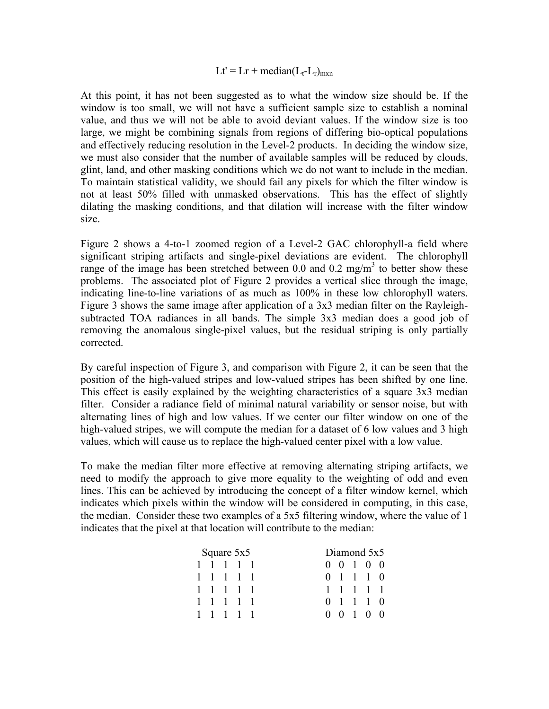## $Lt' = Lr + \text{median}(L_t - L_r)_{\text{max}}$

At this point, it has not been suggested as to what the window size should be. If the window is too small, we will not have a sufficient sample size to establish a nominal value, and thus we will not be able to avoid deviant values. If the window size is too large, we might be combining signals from regions of differing bio-optical populations and effectively reducing resolution in the Level-2 products. In deciding the window size, we must also consider that the number of available samples will be reduced by clouds, glint, land, and other masking conditions which we do not want to include in the median. To maintain statistical validity, we should fail any pixels for which the filter window is not at least 50% filled with unmasked observations. This has the effect of slightly dilating the masking conditions, and that dilation will increase with the filter window size.

Figure 2 shows a 4-to-1 zoomed region of a Level-2 GAC chlorophyll-a field where significant striping artifacts and single-pixel deviations are evident. The chlorophyll range of the image has been stretched between 0.0 and 0.2 mg/m<sup>3</sup> to better show these problems. The associated plot of Figure 2 provides a vertical slice through the image, indicating line-to-line variations of as much as 100% in these low chlorophyll waters. Figure 3 shows the same image after application of a 3x3 median filter on the Rayleighsubtracted TOA radiances in all bands. The simple 3x3 median does a good job of removing the anomalous single-pixel values, but the residual striping is only partially corrected.

By careful inspection of Figure 3, and comparison with Figure 2, it can be seen that the position of the high-valued stripes and low-valued stripes has been shifted by one line. This effect is easily explained by the weighting characteristics of a square 3x3 median filter. Consider a radiance field of minimal natural variability or sensor noise, but with alternating lines of high and low values. If we center our filter window on one of the high-valued stripes, we will compute the median for a dataset of 6 low values and 3 high values, which will cause us to replace the high-valued center pixel with a low value.

To make the median filter more effective at removing alternating striping artifacts, we need to modify the approach to give more equality to the weighting of odd and even lines. This can be achieved by introducing the concept of a filter window kernel, which indicates which pixels within the window will be considered in computing, in this case, the median. Consider these two examples of a 5x5 filtering window, where the value of 1 indicates that the pixel at that location will contribute to the median:

| Square 5x5 |           |  |  |  | Diamond 5x5         |  |  |  |  |
|------------|-----------|--|--|--|---------------------|--|--|--|--|
|            | 1 1 1 1 1 |  |  |  | $0 \t0 \t1 \t0 \t0$ |  |  |  |  |
|            | 1 1 1 1 1 |  |  |  | $0 \t1 \t1 \t0$     |  |  |  |  |
|            | 1 1 1 1 1 |  |  |  | 1 1 1 1 1           |  |  |  |  |
|            | 1 1 1 1 1 |  |  |  | $0 \t1 \t1 \t0$     |  |  |  |  |
|            | 1 1 1 1 1 |  |  |  | $0 \t0 \t1 \t0 \t0$ |  |  |  |  |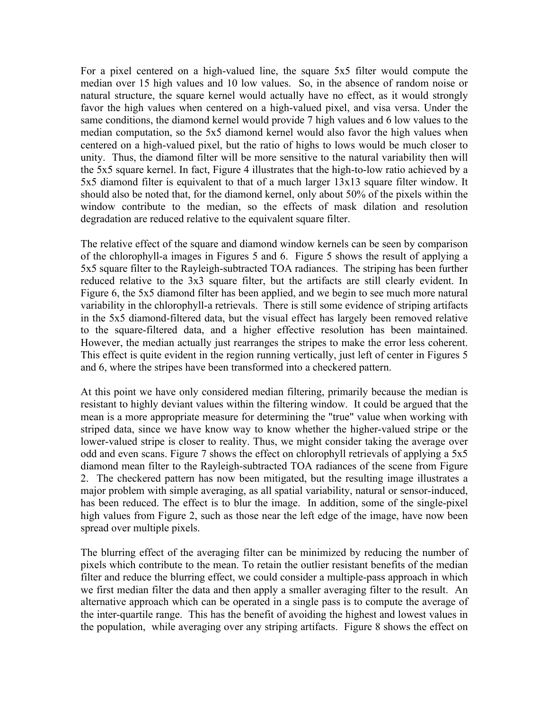For a pixel centered on a high-valued line, the square 5x5 filter would compute the median over 15 high values and 10 low values. So, in the absence of random noise or natural structure, the square kernel would actually have no effect, as it would strongly favor the high values when centered on a high-valued pixel, and visa versa. Under the same conditions, the diamond kernel would provide 7 high values and 6 low values to the median computation, so the 5x5 diamond kernel would also favor the high values when centered on a high-valued pixel, but the ratio of highs to lows would be much closer to unity. Thus, the diamond filter will be more sensitive to the natural variability then will the 5x5 square kernel. In fact, Figure 4 illustrates that the high-to-low ratio achieved by a 5x5 diamond filter is equivalent to that of a much larger 13x13 square filter window. It should also be noted that, for the diamond kernel, only about 50% of the pixels within the window contribute to the median, so the effects of mask dilation and resolution degradation are reduced relative to the equivalent square filter.

The relative effect of the square and diamond window kernels can be seen by comparison of the chlorophyll-a images in Figures 5 and 6. Figure 5 shows the result of applying a 5x5 square filter to the Rayleigh-subtracted TOA radiances. The striping has been further reduced relative to the 3x3 square filter, but the artifacts are still clearly evident. In Figure 6, the 5x5 diamond filter has been applied, and we begin to see much more natural variability in the chlorophyll-a retrievals. There is still some evidence of striping artifacts in the 5x5 diamond-filtered data, but the visual effect has largely been removed relative to the square-filtered data, and a higher effective resolution has been maintained. However, the median actually just rearranges the stripes to make the error less coherent. This effect is quite evident in the region running vertically, just left of center in Figures 5 and 6, where the stripes have been transformed into a checkered pattern.

At this point we have only considered median filtering, primarily because the median is resistant to highly deviant values within the filtering window. It could be argued that the mean is a more appropriate measure for determining the "true" value when working with striped data, since we have know way to know whether the higher-valued stripe or the lower-valued stripe is closer to reality. Thus, we might consider taking the average over odd and even scans. Figure 7 shows the effect on chlorophyll retrievals of applying a 5x5 diamond mean filter to the Rayleigh-subtracted TOA radiances of the scene from Figure 2. The checkered pattern has now been mitigated, but the resulting image illustrates a major problem with simple averaging, as all spatial variability, natural or sensor-induced, has been reduced. The effect is to blur the image. In addition, some of the single-pixel high values from Figure 2, such as those near the left edge of the image, have now been spread over multiple pixels.

The blurring effect of the averaging filter can be minimized by reducing the number of pixels which contribute to the mean. To retain the outlier resistant benefits of the median filter and reduce the blurring effect, we could consider a multiple-pass approach in which we first median filter the data and then apply a smaller averaging filter to the result. An alternative approach which can be operated in a single pass is to compute the average of the inter-quartile range. This has the benefit of avoiding the highest and lowest values in the population, while averaging over any striping artifacts. Figure 8 shows the effect on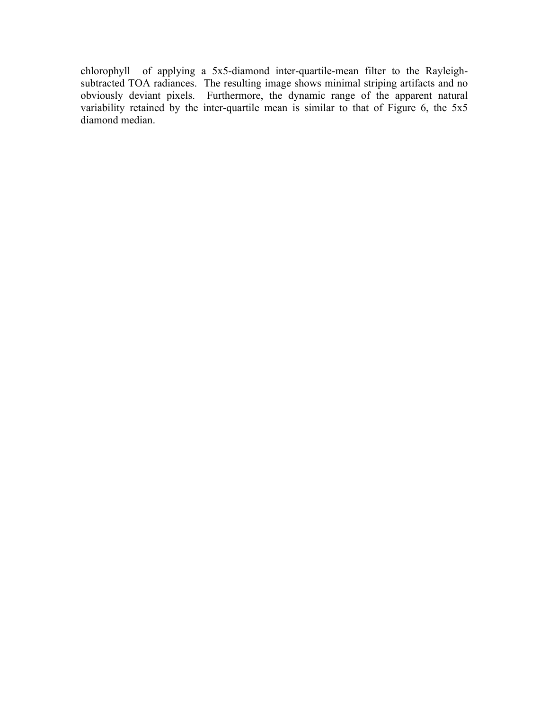chlorophyll of applying a 5x5-diamond inter-quartile-mean filter to the Rayleighsubtracted TOA radiances. The resulting image shows minimal striping artifacts and no obviously deviant pixels. Furthermore, the dynamic range of the apparent natural variability retained by the inter-quartile mean is similar to that of Figure 6, the 5x5 diamond median.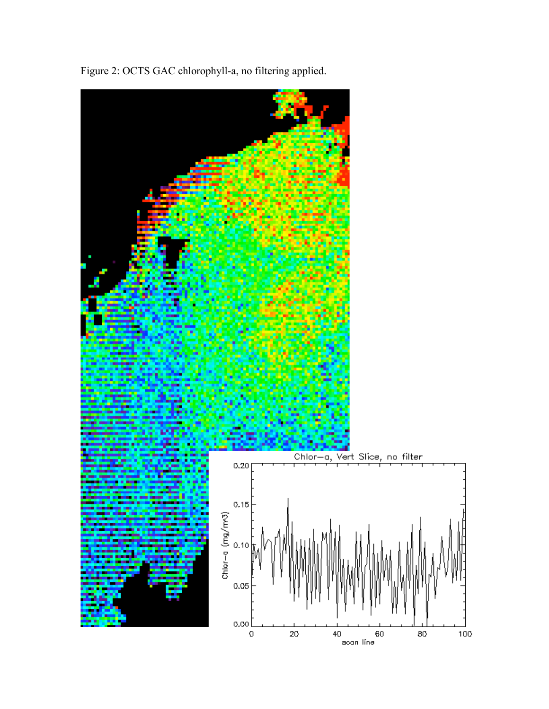

Figure 2: OCTS GAC chlorophyll-a, no filtering applied.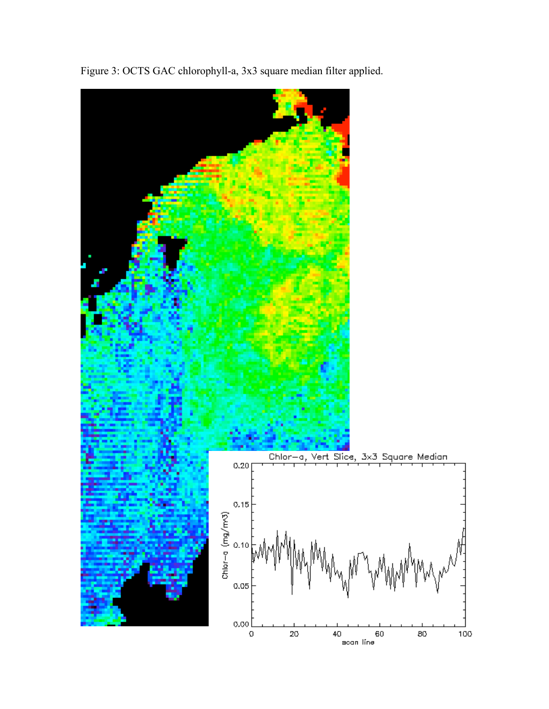

Figure 3: OCTS GAC chlorophyll-a, 3x3 square median filter applied.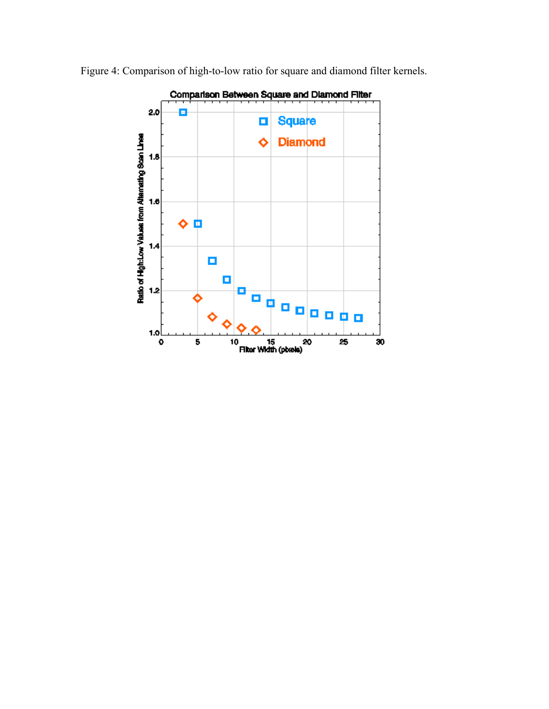

Figure 4: Comparison of high-to-low ratio for square and diamond filter kernels.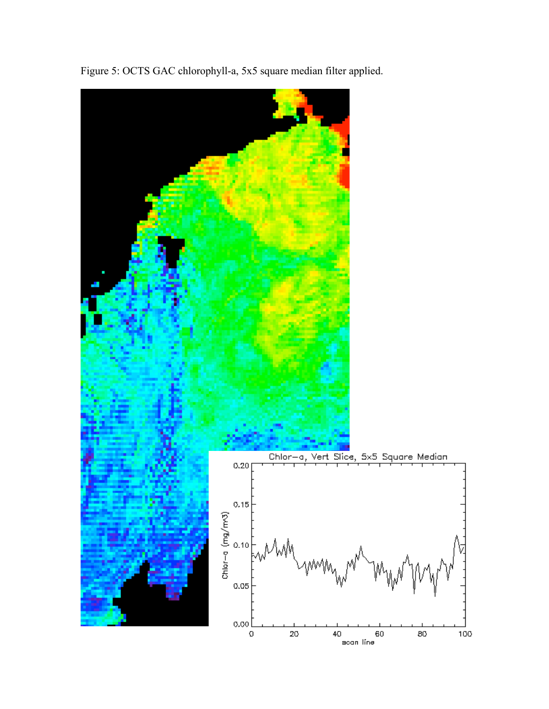

Figure 5: OCTS GAC chlorophyll-a, 5x5 square median filter applied.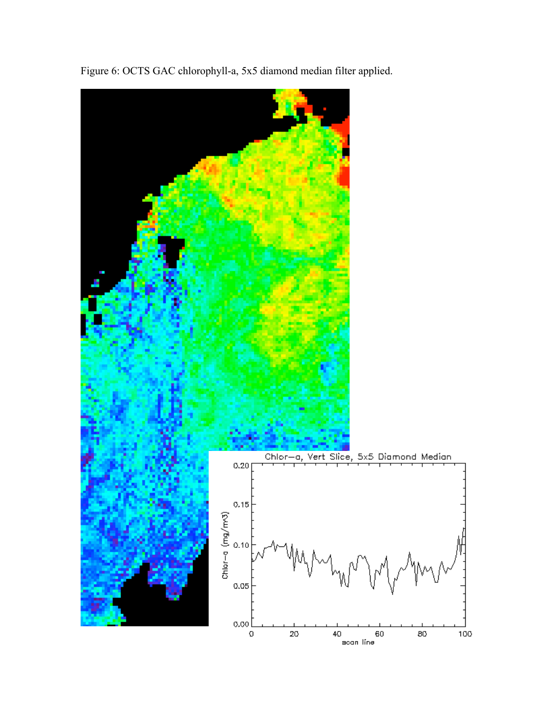

Figure 6: OCTS GAC chlorophyll-a, 5x5 diamond median filter applied.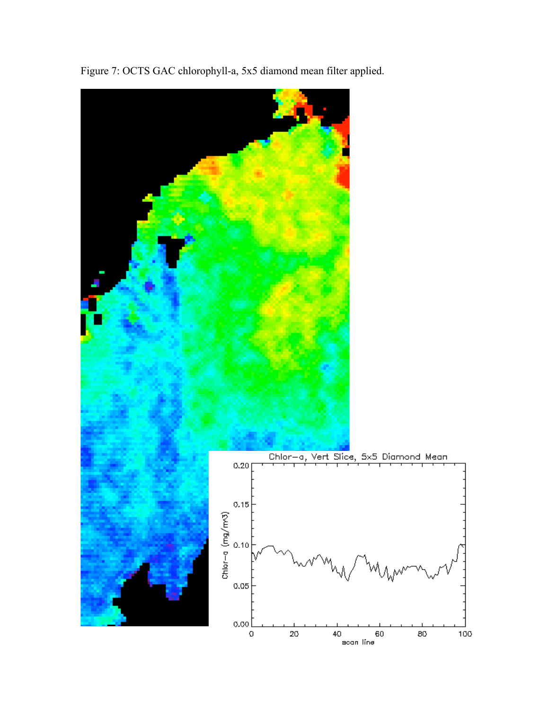

Figure 7: OCTS GAC chlorophyll-a, 5x5 diamond mean filter applied.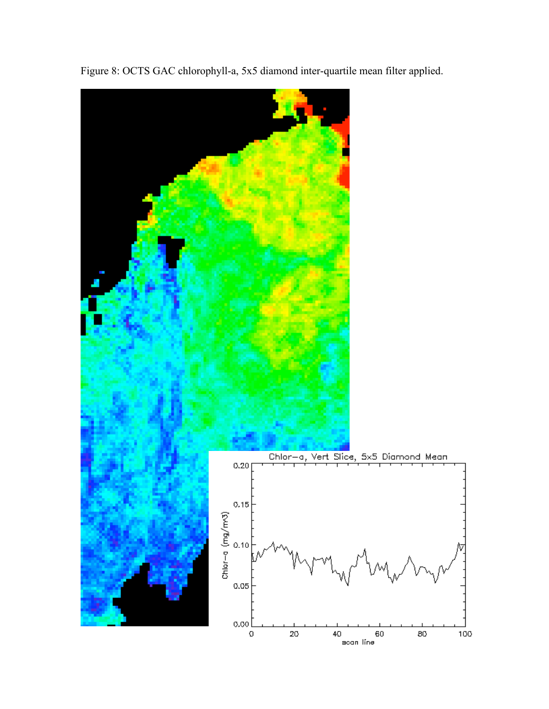

Figure 8: OCTS GAC chlorophyll-a, 5x5 diamond inter-quartile mean filter applied.